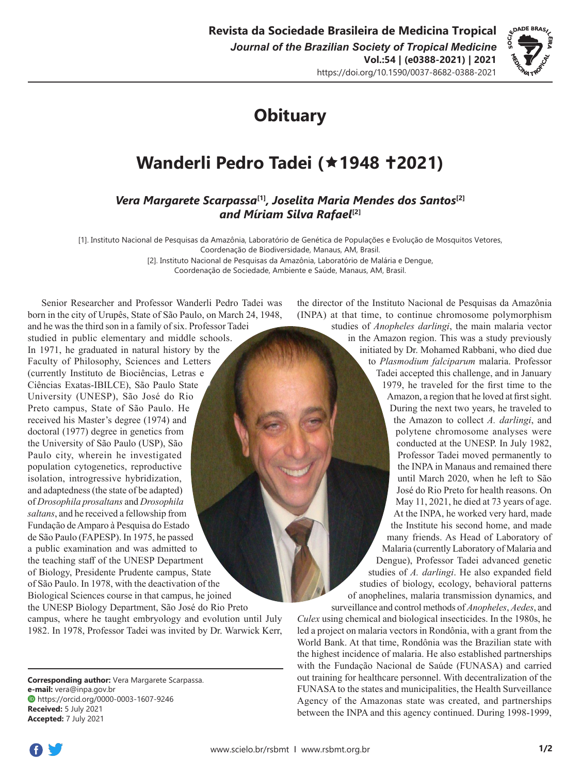

# **Obituary**

## **Wanderli Pedro Tadei (1948 2021)**

### *Vera Margarete Scarpassa***[1]***, Joselita Maria Mendes dos Santos***[2]** *and Míriam Silva Rafael***[2]**

[1]. Instituto Nacional de Pesquisas da Amazônia, Laboratório de Genética de Populações e Evolução de Mosquitos Vetores, Coordenação de Biodiversidade, Manaus, AM, Brasil.

> [2]. Instituto Nacional de Pesquisas da Amazônia, Laboratório de Malária e Dengue, Coordenação de Sociedade, Ambiente e Saúde, Manaus, AM, Brasil.

Senior Researcher and Professor Wanderli Pedro Tadei was born in the city of Urupês, State of São Paulo, on March 24, 1948, and he was the third son in a family of six. Professor Tadei studied in public elementary and middle schools. In 1971, he graduated in natural history by the Faculty of Philosophy, Sciences and Letters (currently Instituto de Biociências, Letras e Ciências Exatas-IBILCE), São Paulo State University (UNESP), São José do Rio Preto campus, State of São Paulo. He received his Master's degree (1974) and doctoral (1977) degree in genetics from the University of São Paulo (USP), São Paulo city, wherein he investigated population cytogenetics, reproductive isolation, introgressive hybridization, and adaptedness (the state of be adapted) of *Drosophila prosaltans* and *Drosophila saltans*, and he received a fellowship from Fundação de Amparo à Pesquisa do Estado de São Paulo (FAPESP). In 1975, he passed a public examination and was admitted to the teaching staff of the UNESP Department of Biology, Presidente Prudente campus, State of São Paulo. In 1978, with the deactivation of the Biological Sciences course in that campus, he joined the UNESP Biology Department, São José do Rio Preto campus, where he taught embryology and evolution until July 1982. In 1978, Professor Tadei was invited by Dr. Warwick Kerr,

**Corresponding author:** Vera Margarete Scarpassa. **e-mail:** [vera@inpa.gov.br](mailto:vera@inpa.gov.br) https://orcid.org/0000-0003-1607-9246 **Received:** 5 July 2021 **Accepted:** 7 July 2021

the director of the Instituto Nacional de Pesquisas da Amazônia (INPA) at that time, to continue chromosome polymorphism studies of *Anopheles darlingi*, the main malaria vector

in the Amazon region. This was a study previously initiated by Dr. Mohamed Rabbani, who died due to *Plasmodium falciparum* malaria. Professor Tadei accepted this challenge, and in January 1979, he traveled for the first time to the Amazon, a region that he loved at first sight. During the next two years, he traveled to the Amazon to collect *A. darlingi*, and polytene chromosome analyses were conducted at the UNESP. In July 1982, Professor Tadei moved permanently to the INPA in Manaus and remained there until March 2020, when he left to São José do Rio Preto for health reasons. On May 11, 2021, he died at 73 years of age. At the INPA, he worked very hard, made the Institute his second home, and made many friends. As Head of Laboratory of Malaria (currently Laboratory of Malaria and Dengue), Professor Tadei advanced genetic studies of *A. darlingi*. He also expanded field studies of biology, ecology, behavioral patterns of anophelines, malaria transmission dynamics, and

surveillance and control methods of *Anopheles*, *Aedes*, and *Culex* using chemical and biological insecticides. In the 1980s, he led a project on malaria vectors in Rondônia, with a grant from the World Bank. At that time, Rondônia was the Brazilian state with the highest incidence of malaria. He also established partnerships with the Fundação Nacional de Saúde (FUNASA) and carried out training for healthcare personnel. With decentralization of the FUNASA to the states and municipalities, the Health Surveillance Agency of the Amazonas state was created, and partnerships between the INPA and this agency continued. During 1998-1999,